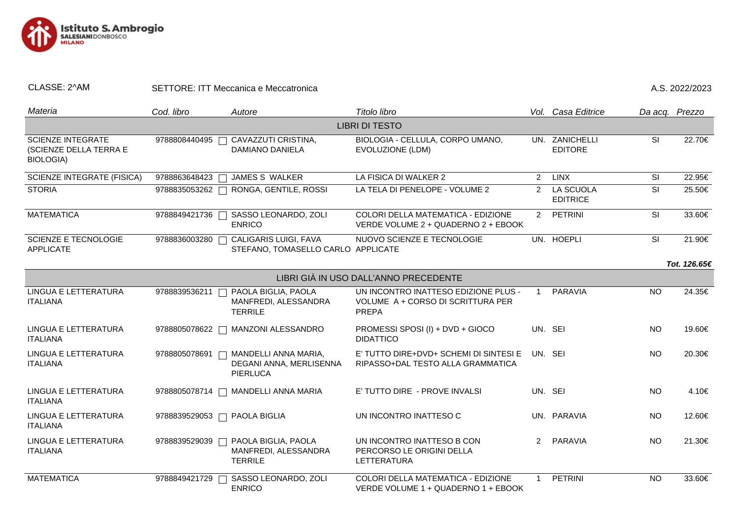

| CLASSE: 2^AM |  |
|--------------|--|
|              |  |

SETTORE: ITT Meccanica e Meccatronica <br>
A.S. 2022/2023

| Materia                                                                | Cod. libro                   | Autore                                                             | Titolo libro                                                                              |                | Vol. Casa Editrice               | Da acq. Prezzo          |              |  |  |
|------------------------------------------------------------------------|------------------------------|--------------------------------------------------------------------|-------------------------------------------------------------------------------------------|----------------|----------------------------------|-------------------------|--------------|--|--|
| <b>LIBRI DI TESTO</b>                                                  |                              |                                                                    |                                                                                           |                |                                  |                         |              |  |  |
| <b>SCIENZE INTEGRATE</b><br>(SCIENZE DELLA TERRA E<br><b>BIOLOGIA)</b> | 9788808440495                | CAVAZZUTI CRISTINA,<br><b>DAMIANO DANIELA</b>                      | BIOLOGIA - CELLULA, CORPO UMANO,<br>EVOLUZIONE (LDM)                                      |                | UN. ZANICHELLI<br><b>EDITORE</b> | $\overline{\mathbf{s}}$ | 22.70€       |  |  |
| <b>SCIENZE INTEGRATE (FISICA)</b>                                      | 9788863648423                | JAMES S WALKER                                                     | LA FISICA DI WALKER 2                                                                     | 2              | <b>LINX</b>                      | SI                      | 22.95€       |  |  |
| <b>STORIA</b>                                                          | 9788835053262                | RONGA, GENTILE, ROSSI                                              | LA TELA DI PENELOPE - VOLUME 2                                                            | $\overline{2}$ | LA SCUOLA<br><b>EDITRICE</b>     | SI                      | 25.50€       |  |  |
| <b>MATEMATICA</b>                                                      | 9788849421736                | SASSO LEONARDO, ZOLI<br><b>ENRICO</b>                              | COLORI DELLA MATEMATICA - EDIZIONE<br>VERDE VOLUME 2 + QUADERNO 2 + EBOOK                 | 2              | <b>PETRINI</b>                   | SI                      | 33.60€       |  |  |
| <b>SCIENZE E TECNOLOGIE</b><br><b>APPLICATE</b>                        | 9788836003280                | CALIGARIS LUIGI, FAVA<br>STEFANO, TOMASELLO CARLO APPLICATE        | NUOVO SCIENZE E TECNOLOGIE                                                                |                | UN. HOEPLI                       | SI                      | 21.90€       |  |  |
|                                                                        |                              |                                                                    |                                                                                           |                |                                  |                         | Tot. 126.65€ |  |  |
|                                                                        |                              |                                                                    | LIBRI GIÀ IN USO DALL'ANNO PRECEDENTE                                                     |                |                                  |                         |              |  |  |
| LINGUA E LETTERATURA<br><b>ITALIANA</b>                                | 9788839536211                | PAOLA BIGLIA, PAOLA<br>MANFREDI, ALESSANDRA<br><b>TERRILE</b>      | UN INCONTRO INATTESO EDIZIONE PLUS -<br>VOLUME A + CORSO DI SCRITTURA PER<br><b>PREPA</b> | $\overline{1}$ | <b>PARAVIA</b>                   | <b>NO</b>               | 24.35€       |  |  |
| LINGUA E LETTERATURA<br><b>ITALIANA</b>                                | 9788805078622<br>П           | <b>MANZONI ALESSANDRO</b>                                          | PROMESSI SPOSI (I) + DVD + GIOCO<br><b>DIDATTICO</b>                                      | UN. SEI        |                                  | <b>NO</b>               | 19.60€       |  |  |
| LINGUA E LETTERATURA<br><b>ITALIANA</b>                                | 9788805078691                | MANDELLI ANNA MARIA,<br>DEGANI ANNA, MERLISENNA<br><b>PIERLUCA</b> | E' TUTTO DIRE+DVD+ SCHEMI DI SINTESI E<br>RIPASSO+DAL TESTO ALLA GRAMMATICA               | UN. SEI        |                                  | <b>NO</b>               | 20.30€       |  |  |
| LINGUA E LETTERATURA<br><b>ITALIANA</b>                                | 9788805078714                | MANDELLI ANNA MARIA                                                | E' TUTTO DIRE - PROVE INVALSI                                                             | UN. SEI        |                                  | <b>NO</b>               | 4.10€        |  |  |
| LINGUA E LETTERATURA<br><b>ITALIANA</b>                                | 9788839529053 □ PAOLA BIGLIA |                                                                    | UN INCONTRO INATTESO C                                                                    |                | UN. PARAVIA                      | <b>NO</b>               | 12.60€       |  |  |
| LINGUA E LETTERATURA<br><b>ITALIANA</b>                                | 9788839529039                | PAOLA BIGLIA, PAOLA<br>MANFREDI, ALESSANDRA<br><b>TERRILE</b>      | UN INCONTRO INATTESO B CON<br>PERCORSO LE ORIGINI DELLA<br>LETTERATURA                    | $\overline{2}$ | PARAVIA                          | <b>NO</b>               | 21.30€       |  |  |
| <b>MATEMATICA</b>                                                      | 9788849421729                | SASSO LEONARDO, ZOLI<br><b>ENRICO</b>                              | COLORI DELLA MATEMATICA - EDIZIONE<br>VERDE VOLUME 1 + QUADERNO 1 + EBOOK                 | -1             | <b>PETRINI</b>                   | <b>NO</b>               | 33.60€       |  |  |